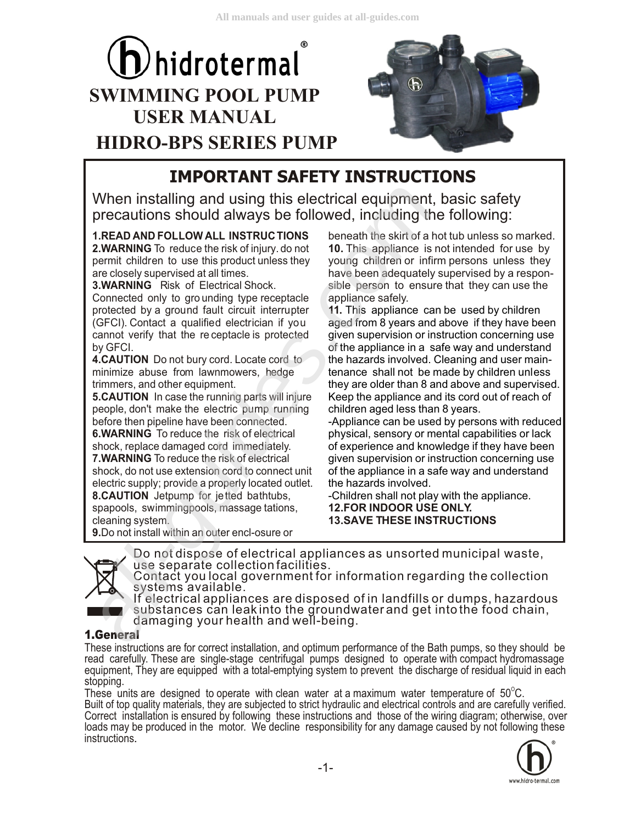# $\theta$ hidrotermal **SWIMMING POOL PUMP USER MANUAL HIDRO-BPS SERIES PUMP**



## **IMPORTANT SAFETY INSTRUCTIONS**

When installing and using this electrical equipment, basic safety precautions should always be followed, including the following:

**1.READ AND FOLLOW ALL INSTRUCTIONS 2.WARNING** To reduce the risk of injury. do not permit children to use this product unless they are closely supervised at all times.

**3.WARNING** Risk of Electrical Shock.

Connected only to gro unding type receptacle protected by a ground fault circuit interrupter (GFCI). Contact a qualified electrician if you cannot verify that the re ceptacle is protected by GFCI. When installing and using this electrical equipment,<br>
Drecautions should always be followed, including the<br>
Drecautions should always be followed, including the<br>
DREAD AND FOLLOW ALL INSTRUCTIONS beneath the skirt of a h.<br>

**4.CAUTION** Do not bury cord. Locate cord to minimize abuse from lawnmowers, hedge trimmers, and other equipment.

**5.CAUTION** In case the running parts will injure people, don't make the electric pump running before then pipeline have been connected. **6.WARNING** To reduce the risk of electrical

shock, replace damaged cord immediately. **7.WARNING** To reduce the risk of electrical

shock, do not use extension cord to connect unit electric supply; provide a properly located outlet. **8.CAUTION** Jetpump for jetted bathtubs, spapools, swimmingpools, massage tations,

cleaning system. **9.**Do not install within an outer encl-osure or beneath the skirt of a hot tub unless so marked. **10.** This appliance is not intended for use by young children or infirm persons unless they have been adequately supervised by a responsible person to ensure that they can use the appliance safely.

**11.**  This appliance can be used by children aged from 8 years and above if they have been given supervision or instruction concerning use of the appliance in a safe way and understand the hazards involved. Cleaning and user maintenance shall not be made by children unless they are older than 8 and above and supervised. Keep the appliance and its cord out of reach of children aged less than 8 years.

-Appliance can be used by persons with reduced physical, sensory or mental capabilities or lack of experience and knowledge if they have been given supervision or instruction concerning use of the appliance in a safe way and understand the hazards involved.

**12.FOR INDOOR USE ONLY. 13.SAVE THESE INSTRUCTIONS** -Children shall not play with the appliance.



Do not dispose of electrical appliances as unsorted municipal waste, use separate collection facilities. Contact you local government for information regarding the collection

 substances can leak into the groundwater and get into the food chain, systems available. If electrical appliances are disposed of in landfills or dumps, hazardous

damaging your health and well-being.

#### **1.General**

 equipment, They are equipped with a total-emptying system to prevent the discharge of residual liquid in each These instructions are for correct installation, and optimum performance of the Bath pumps, so they should be read carefully. These are single-stage centrifugal pumps designed to operate with compact hydromassage stopping.

 Correct installation is ensured by following these instructions and those of the wiring diagram; otherwise, over These units are designed to operate with clean water at a maximum water temperature of 50 $\rm ^{o}C$ . Built of top quality materials, they are subjected to strict hydraulic and electrical controls and are carefully verified. loads may be produced in the motor. We decline responsibility for any damage caused by not following these instructions.

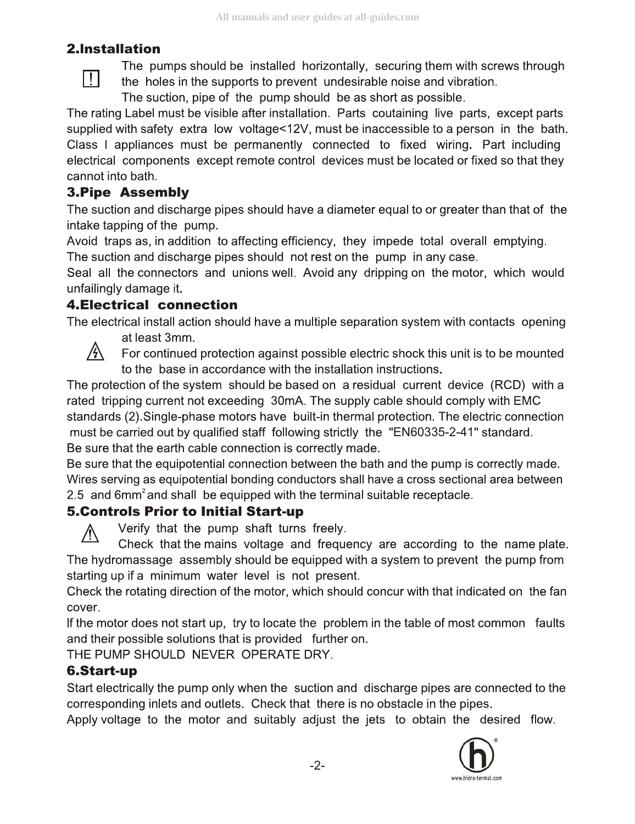#### **2.lnstallation**

 $\prod$ 

The pumps should be installed horizontally, securing them with screws through the holes in the supports to prevent undesirable noise and vibration.

The suction, pipe of the pump should be as short as possible.

The rating Label must be visible after installation. Parts coutaining live parts, except parts supplied with safety extra low voltage<12V, must be inaccessible to a person in the bath. Class I appliances must be permanently connected to fixed wiring. Part including electrical components except remote control devices must be located or fixed so that they cannot into bath.

#### **3.Pipe Assembly**

The suction and discharge pipes should have a diameter equal to or greater than that of the intake tapping of the pump.

Avoid traps as, in addition to affecting efficiency, they impede total overall emptying. The suction and discharge pipes should not rest on the pump in any case.

Seal all the connectors and unions well. Avoid any dripping on the motor, which would unfailingly damage it.

#### **4.Electrical connection**

The electrical install action should have a multiple separation system with contacts opening at least 3mm.



For continued protection against possible electric shock this unit is to be mounted to the base in accordance with the installation instructions.

The protection of the system should be based on a residual current device (RCD) with a rated tripping current not exceeding 30mA. The supply cable should comply with EMC standards (2). Single-phase motors have built-in thermal protection. The electric connection must be carried out by qualified staff following strictly the "EN60335-2-41" standard. Be sure that the earth cable connection is correctly made.

Be sure that the equipotential connection between the bath and the pump is correctly made. Wires serving as equipotential bonding conductors shall have a cross sectional area between 2.5 and 6mm<sup>2</sup> and shall be equipped with the terminal suitable receptacle.

#### **5.Controls Prior to Initial Start-up**

Verify that the pump shaft turns freely.

/!\ Check that the mains voltage and frequency are according to the name plate. The hydromassage assembly should be equipped with a system to prevent the pump from starting up if a minimum water level is not present.

Check the rotating direction of the motor, which should concur with that indicated on the fan cover.

If the motor does not start up, try to locate the problem in the table of most common faults and their possible solutions that is provided further on.

THE PUMP SHOULD NEVER OPERATE DRY.

#### **6.Start-up**

Start electrically the pump only when the suction and discharge pipes are connected to the corresponding inlets and outlets. Check that there is no obstacle in the pipes.

Apply voltage to the motor and suitably adjust the jets to obtain the desired flow.

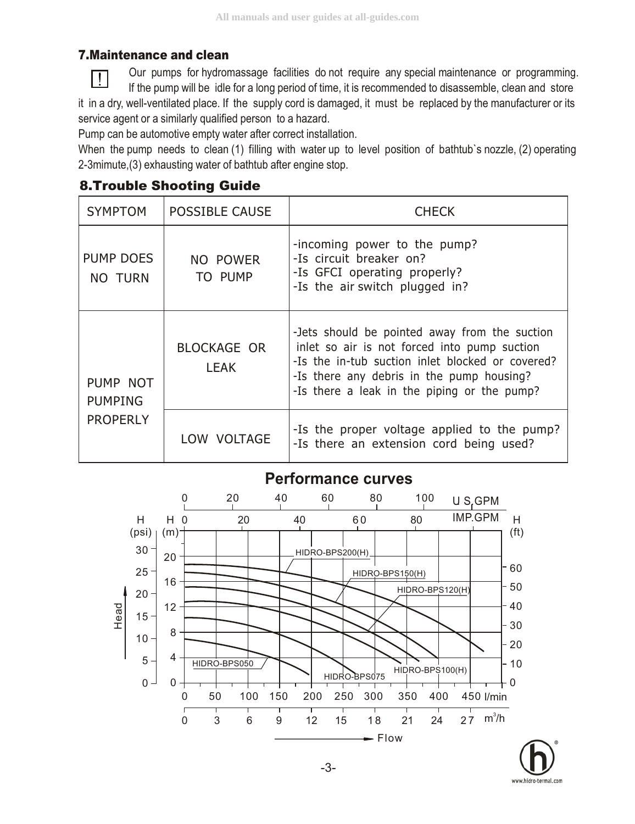#### **7.Maintenance and clean**

Our pumps for hydromassage facilities do not require any special maintenance or programming. If the pump will be idle for a long period of time, it is recommended to disassemble, clean and store it in a dry, well-ventilated place. If the supply cord is damaged, it must be replaced by the manufacturer or its service agent or a similarly qualified person to a hazard.

Pump can be automotive empty water after correct installation.

When the pump needs to clean (1) filling with water up to level position of bathtub's nozzle, (2) operating 2-3mimute,(3) exhausting water of bathtub after engine stop.

### **8.Trouble Shooting Guide**

| <b>SYMPTOM</b>                                | <b>POSSIBLE CAUSE</b>             | <b>CHECK</b>                                                                                                                                                                                                                                  |  |  |  |  |
|-----------------------------------------------|-----------------------------------|-----------------------------------------------------------------------------------------------------------------------------------------------------------------------------------------------------------------------------------------------|--|--|--|--|
| PUMP DOES<br>NO TURN                          | NO POWER<br>TO PUMP               | -incoming power to the pump?<br>-Is circuit breaker on?<br>-Is GFCI operating properly?<br>-Is the air switch plugged in?                                                                                                                     |  |  |  |  |
| PUMP NOT<br><b>PUMPING</b><br><b>PROPERLY</b> | <b>BLOCKAGE OR</b><br><b>LEAK</b> | -Jets should be pointed away from the suction<br>inlet so air is not forced into pump suction<br>-Is the in-tub suction inlet blocked or covered?<br>-Is there any debris in the pump housing?<br>-Is there a leak in the piping or the pump? |  |  |  |  |
|                                               | LOW VOLTAGE                       | -Is the proper voltage applied to the pump?<br>-Is there an extension cord being used?                                                                                                                                                        |  |  |  |  |